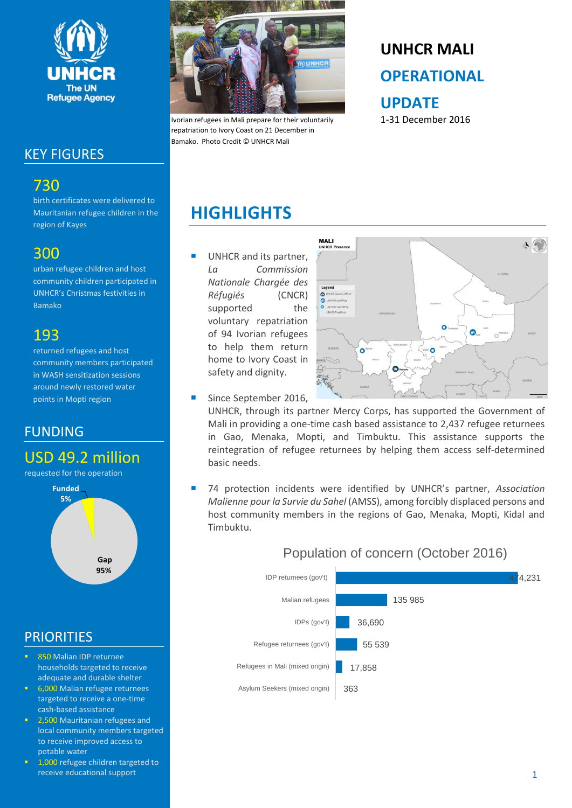

### KEY FIGURES

## 730

birth certificates were delivered to Mauritanian refugee children in the region of Kayes

### 300

urban refugee children and host community children participated in UNHCR's Christmas festivities in Bamako

## 193

returned refugees and host community members participated in WASH sensitization sessions around newly restored water points in Mopti region

### FUNDING

# USD 49.2 million

requested for the operation



### **PRIORITIES**

- 850 Malian IDP returnee households targeted to receive adequate and durable shelter
- 6,000 Malian refugee returnees targeted to receive a one-time cash-based assistance
- 2,500 Mauritanian refugees and local community members targeted to receive improved access to potable water
- 1,000 refugee children targeted to receive educational support



Ivorian refugees in Mali prepare for their voluntarily repatriation to Ivory Coast on 21 December in Bamako. Photo Credit © UNHCR Mali

# **UNHCR MALI OPERATIONAL UPDATE**

1-31 December 2016

# **HIGHLIGHTS**

 UNHCR and its partner, *La Commission Nationale Chargée des Réfugiés* (CNCR) supported the voluntary repatriation of 94 Ivorian refugees to help them return home to Ivory Coast in safety and dignity.



Since September 2016,

UNHCR, through its partner Mercy Corps, has supported the Government of Mali in providing a one-time cash based assistance to 2,437 refugee returnees in Gao, Menaka, Mopti, and Timbuktu. This assistance supports the reintegration of refugee returnees by helping them access self-determined basic needs.

 74 protection incidents were identified by UNHCR's partner, *Association Malienne pour la Survie du Sahel* (AMSS), among forcibly displaced persons and host community members in the regions of Gao, Menaka, Mopti, Kidal and Timbuktu.

#### 363 17,858 55 539 36,690 135 985 474,231 Asylum Seekers (mixed origin) Refugees in Mali (mixed origin) Refugee returnees (gov't) IDPs (gov't) Malian refugees IDP returnees (gov't)

### Population of concern (October 2016)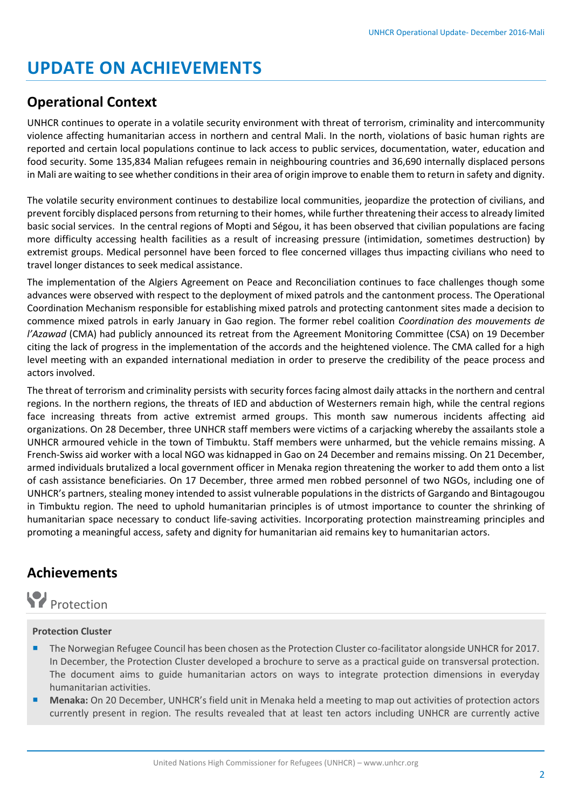# **UPDATE ON ACHIEVEMENTS**

### **Operational Context**

UNHCR continues to operate in a volatile security environment with threat of terrorism, criminality and intercommunity violence affecting humanitarian access in northern and central Mali. In the north, violations of basic human rights are reported and certain local populations continue to lack access to public services, documentation, water, education and food security. Some 135,834 Malian refugees remain in neighbouring countries and 36,690 internally displaced persons in Mali are waiting to see whether conditions in their area of origin improve to enable them to return in safety and dignity.

The volatile security environment continues to destabilize local communities, jeopardize the protection of civilians, and prevent forcibly displaced persons from returning to their homes, while further threatening their access to already limited basic social services. In the central regions of Mopti and Ségou, it has been observed that civilian populations are facing more difficulty accessing health facilities as a result of increasing pressure (intimidation, sometimes destruction) by extremist groups. Medical personnel have been forced to flee concerned villages thus impacting civilians who need to travel longer distances to seek medical assistance.

The implementation of the Algiers Agreement on Peace and Reconciliation continues to face challenges though some advances were observed with respect to the deployment of mixed patrols and the cantonment process. The Operational Coordination Mechanism responsible for establishing mixed patrols and protecting cantonment sites made a decision to commence mixed patrols in early January in Gao region. The former rebel coalition *Coordination des mouvements de l'Azawad* (CMA) had publicly announced its retreat from the Agreement Monitoring Committee (CSA) on 19 December citing the lack of progress in the implementation of the accords and the heightened violence. The CMA called for a high level meeting with an expanded international mediation in order to preserve the credibility of the peace process and actors involved.

The threat of terrorism and criminality persists with security forces facing almost daily attacks in the northern and central regions. In the northern regions, the threats of IED and abduction of Westerners remain high, while the central regions face increasing threats from active extremist armed groups. This month saw numerous incidents affecting aid organizations. On 28 December, three UNHCR staff members were victims of a carjacking whereby the assailants stole a UNHCR armoured vehicle in the town of Timbuktu. Staff members were unharmed, but the vehicle remains missing. A French-Swiss aid worker with a local NGO was kidnapped in Gao on 24 December and remains missing. On 21 December, armed individuals brutalized a local government officer in Menaka region threatening the worker to add them onto a list of cash assistance beneficiaries. On 17 December, three armed men robbed personnel of two NGOs, including one of UNHCR's partners, stealing money intended to assist vulnerable populations in the districts of Gargando and Bintagougou in Timbuktu region. The need to uphold humanitarian principles is of utmost importance to counter the shrinking of humanitarian space necessary to conduct life-saving activities. Incorporating protection mainstreaming principles and promoting a meaningful access, safety and dignity for humanitarian aid remains key to humanitarian actors.

### **Achievements**



#### **Protection Cluster**

- The Norwegian Refugee Council has been chosen asthe Protection Cluster co-facilitator alongside UNHCR for 2017. In December, the Protection Cluster developed a brochure to serve as a practical guide on transversal protection. The document aims to guide humanitarian actors on ways to integrate protection dimensions in everyday humanitarian activities.
- **Menaka:** On 20 December, UNHCR's field unit in Menaka held a meeting to map out activities of protection actors currently present in region. The results revealed that at least ten actors including UNHCR are currently active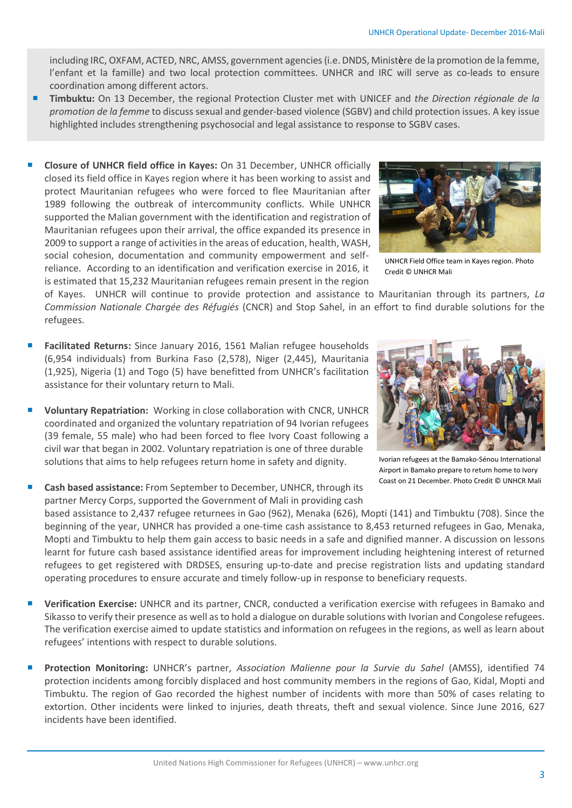including IRC, OXFAM, ACTED, NRC, AMSS, government agencies (i.e. DNDS, Ministère de la promotion de la femme, l'enfant et la famille) and two local protection committees. UNHCR and IRC will serve as co-leads to ensure coordination among different actors.

- **Timbuktu:** On 13 December, the regional Protection Cluster met with UNICEF and *the Direction régionale de la promotion de la femme* to discuss sexual and gender-based violence (SGBV) and child protection issues. A key issue highlighted includes strengthening psychosocial and legal assistance to response to SGBV cases.
- **Closure of UNHCR field office in Kayes:** On 31 December, UNHCR officially closed its field office in Kayes region where it has been working to assist and protect Mauritanian refugees who were forced to flee Mauritanian after 1989 following the outbreak of intercommunity conflicts. While UNHCR supported the Malian government with the identification and registration of Mauritanian refugees upon their arrival, the office expanded its presence in 2009 to support a range of activities in the areas of education, health, WASH, social cohesion, documentation and community empowerment and selfreliance. According to an identification and verification exercise in 2016, it is estimated that 15,232 Mauritanian refugees remain present in the region



UNHCR Field Office team in Kayes region. Photo Credit © UNHCR Mali

of Kayes. UNHCR will continue to provide protection and assistance to Mauritanian through its partners, *La Commission Nationale Chargée des Réfugiés* (CNCR) and Stop Sahel, in an effort to find durable solutions for the refugees.

- **Facilitated Returns:** Since January 2016, 1561 Malian refugee households (6,954 individuals) from Burkina Faso (2,578), Niger (2,445), Mauritania (1,925), Nigeria (1) and Togo (5) have benefitted from UNHCR's facilitation assistance for their voluntary return to Mali.
- **Voluntary Repatriation:** Working in close collaboration with CNCR, UNHCR coordinated and organized the voluntary repatriation of 94 Ivorian refugees (39 female, 55 male) who had been forced to flee Ivory Coast following a civil war that began in 2002. Voluntary repatriation is one of three durable solutions that aims to help refugees return home in safety and dignity.
- **Cash based assistance:** From September to December, UNHCR, through its partner Mercy Corps, supported the Government of Mali in providing cash



Ivorian refugees at the Bamako-Sénou International Airport in Bamako prepare to return home to Ivory Coast on 21 December. Photo Credit © UNHCR Mali

based assistance to 2,437 refugee returnees in Gao (962), Menaka (626), Mopti (141) and Timbuktu (708). Since the beginning of the year, UNHCR has provided a one-time cash assistance to 8,453 returned refugees in Gao, Menaka, Mopti and Timbuktu to help them gain access to basic needs in a safe and dignified manner. A discussion on lessons learnt for future cash based assistance identified areas for improvement including heightening interest of returned refugees to get registered with DRDSES, ensuring up-to-date and precise registration lists and updating standard operating procedures to ensure accurate and timely follow-up in response to beneficiary requests.

- **Verification Exercise:** UNHCR and its partner, CNCR, conducted a verification exercise with refugees in Bamako and Sikasso to verify their presence as well as to hold a dialogue on durable solutions with Ivorian and Congolese refugees. The verification exercise aimed to update statistics and information on refugees in the regions, as well as learn about refugees' intentions with respect to durable solutions.
- **Protection Monitoring:** UNHCR's partner, *Association Malienne pour la Survie du Sahel* (AMSS), identified 74 protection incidents among forcibly displaced and host community members in the regions of Gao, Kidal, Mopti and Timbuktu. The region of Gao recorded the highest number of incidents with more than 50% of cases relating to extortion. Other incidents were linked to injuries, death threats, theft and sexual violence. Since June 2016, 627 incidents have been identified.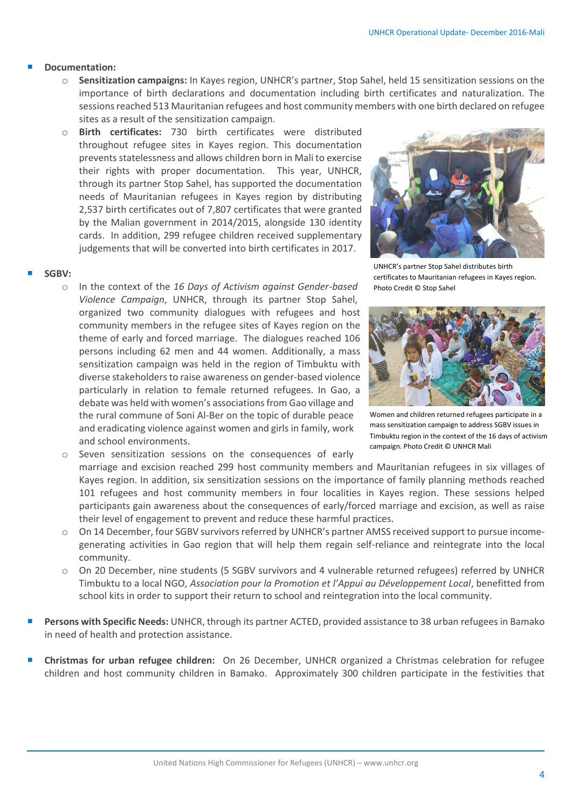#### **Documentation:**

- o **Sensitization campaigns:** In Kayes region, UNHCR's partner, Stop Sahel, held 15 sensitization sessions on the importance of birth declarations and documentation including birth certificates and naturalization. The sessions reached 513 Mauritanian refugees and host community members with one birth declared on refugee sites as a result of the sensitization campaign.
- o **Birth certificates:** 730 birth certificates were distributed throughout refugee sites in Kayes region. This documentation prevents statelessness and allows children born in Mali to exercise their rights with proper documentation. This year, UNHCR, through its partner Stop Sahel, has supported the documentation needs of Mauritanian refugees in Kayes region by distributing 2,537 birth certificates out of 7,807 certificates that were granted by the Malian government in 2014/2015, alongside 130 identity cards. In addition, 299 refugee children received supplementary judgements that will be converted into birth certificates in 2017.

#### **SGBV:**

o In the context of the *16 Days of Activism against Gender-based Violence Campaign*, UNHCR, through its partner Stop Sahel, organized two community dialogues with refugees and host community members in the refugee sites of Kayes region on the theme of early and forced marriage. The dialogues reached 106 persons including 62 men and 44 women. Additionally, a mass sensitization campaign was held in the region of Timbuktu with diverse stakeholders to raise awareness on gender-based violence particularly in relation to female returned refugees. In Gao, a debate was held with women's associations from Gao village and the rural commune of Soni Al-Ber on the topic of durable peace and eradicating violence against women and girls in family, work and school environments.

o Seven sensitization sessions on the consequences of early marriage and excision reached 299 host community members and Mauritanian refugees in six villages of Kayes region. In addition, six sensitization sessions on the importance of family planning methods reached 101 refugees and host community members in four localities in Kayes region. These sessions helped participants gain awareness about the consequences of early/forced marriage and excision, as well as raise their level of engagement to prevent and reduce these harmful practices.

- o On 14 December, four SGBV survivors referred by UNHCR's partner AMSS received support to pursue incomegenerating activities in Gao region that will help them regain self-reliance and reintegrate into the local community.
- o On 20 December, nine students (5 SGBV survivors and 4 vulnerable returned refugees) referred by UNHCR Timbuktu to a local NGO, *Association pour la Promotion et l'Appui au Développement Local*, benefitted from school kits in order to support their return to school and reintegration into the local community.
- **Persons with Specific Needs:** UNHCR, through its partner ACTED, provided assistance to 38 urban refugees in Bamako in need of health and protection assistance.
- **Christmas for urban refugee children:** On 26 December, UNHCR organized a Christmas celebration for refugee children and host community children in Bamako. Approximately 300 children participate in the festivities that



UNHCR's partner Stop Sahel distributes birth certificates to Mauritanian refugees in Kayes region. Photo Credit © Stop Sahel



Women and children returned refugees participate in a mass sensitization campaign to address SGBV issues in Timbuktu region in the context of the 16 days of activism campaign. Photo Credit © UNHCR Mali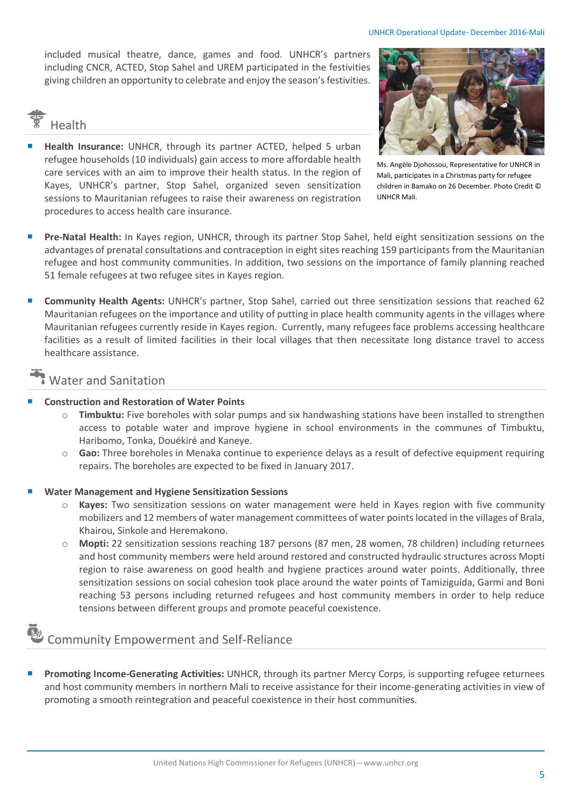included musical theatre, dance, games and food. UNHCR's partners including CNCR, ACTED, Stop Sahel and UREM participated in the festivities giving children an opportunity to celebrate and enjoy the season's festivities.



 **Health Insurance:** UNHCR, through its partner ACTED, helped 5 urban refugee households (10 individuals) gain access to more affordable health care services with an aim to improve their health status. In the region of Kayes, UNHCR's partner, Stop Sahel, organized seven sensitization sessions to Mauritanian refugees to raise their awareness on registration procedures to access health care insurance.



Ms. Angèle Djohossou, Representative for UNHCR in Mali, participates in a Christmas party for refugee children in Bamako on 26 December. Photo Credit © UNHCR Mali.

- **Pre-Natal Health:** In Kayes region, UNHCR, through its partner Stop Sahel, held eight sensitization sessions on the advantages of prenatal consultations and contraception in eight sites reaching 159 participants from the Mauritanian refugee and host community communities. In addition, two sessions on the importance of family planning reached 51 female refugees at two refugee sites in Kayes region.
- **Community Health Agents:** UNHCR's partner, Stop Sahel, carried out three sensitization sessions that reached 62 Mauritanian refugees on the importance and utility of putting in place health community agents in the villages where Mauritanian refugees currently reside in Kayes region. Currently, many refugees face problems accessing healthcare facilities as a result of limited facilities in their local villages that then necessitate long distance travel to access healthcare assistance.

### Water and Sanitation

#### **Construction and Restoration of Water Points**

- o **Timbuktu:** Five boreholes with solar pumps and six handwashing stations have been installed to strengthen access to potable water and improve hygiene in school environments in the communes of Timbuktu, Haribomo, Tonka, Douékiré and Kaneye.
- o **Gao:** Three boreholes in Menaka continue to experience delays as a result of defective equipment requiring repairs. The boreholes are expected to be fixed in January 2017.

#### **Water Management and Hygiene Sensitization Sessions**

- o **Kayes:** Two sensitization sessions on water management were held in Kayes region with five community mobilizers and 12 members of water management committees of water points located in the villages of Brala, Khairou, Sinkole and Heremakono.
- o **Mopti:** 22 sensitization sessions reaching 187 persons (87 men, 28 women, 78 children) including returnees and host community members were held around restored and constructed hydraulic structures across Mopti region to raise awareness on good health and hygiene practices around water points. Additionally, three sensitization sessions on social cohesion took place around the water points of Tamiziguida, Garmi and Boni reaching 53 persons including returned refugees and host community members in order to help reduce tensions between different groups and promote peaceful coexistence.

## $\delta$  Community Empowerment and Self-Reliance

 **Promoting Income-Generating Activities:** UNHCR, through its partner Mercy Corps, is supporting refugee returnees and host community members in northern Mali to receive assistance for their income-generating activities in view of promoting a smooth reintegration and peaceful coexistence in their host communities.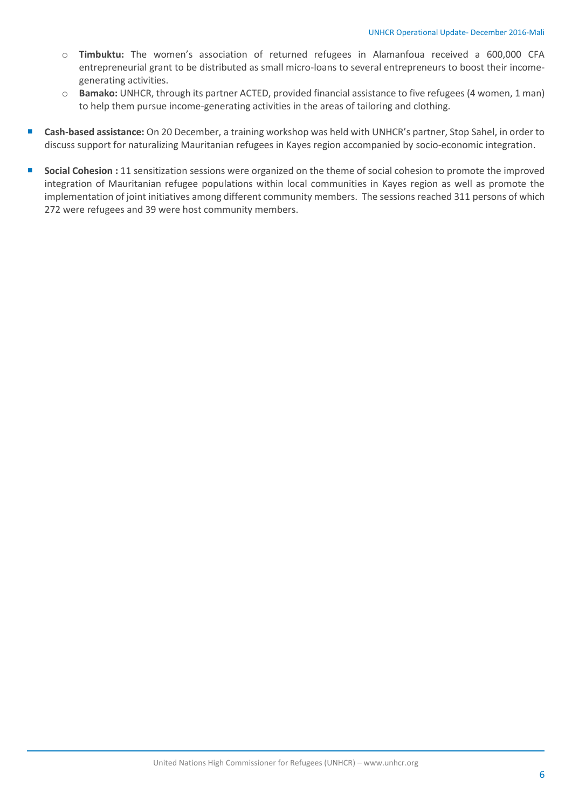- o **Timbuktu:** The women's association of returned refugees in Alamanfoua received a 600,000 CFA entrepreneurial grant to be distributed as small micro-loans to several entrepreneurs to boost their incomegenerating activities.
- o **Bamako:** UNHCR, through its partner ACTED, provided financial assistance to five refugees (4 women, 1 man) to help them pursue income-generating activities in the areas of tailoring and clothing.
- **Cash-based assistance:** On 20 December, a training workshop was held with UNHCR's partner, Stop Sahel, in order to discuss support for naturalizing Mauritanian refugees in Kayes region accompanied by socio-economic integration.
- **Social Cohesion** : 11 sensitization sessions were organized on the theme of social cohesion to promote the improved integration of Mauritanian refugee populations within local communities in Kayes region as well as promote the implementation of joint initiatives among different community members. The sessions reached 311 persons of which 272 were refugees and 39 were host community members.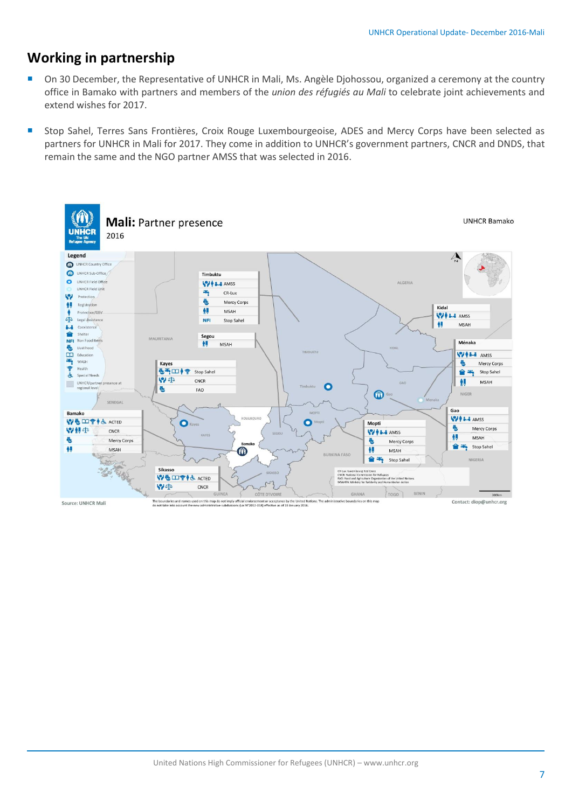### **Working in partnership**

- On 30 December, the Representative of UNHCR in Mali, Ms. Angèle Djohossou, organized a ceremony at the country office in Bamako with partners and members of the *union des réfugiés au Mali* to celebrate joint achievements and extend wishes for 2017.
- Stop Sahel, Terres Sans Frontières, Croix Rouge Luxembourgeoise, ADES and Mercy Corps have been selected as partners for UNHCR in Mali for 2017. They come in addition to UNHCR's government partners, CNCR and DNDS, that remain the same and the NGO partner AMSS that was selected in 2016.

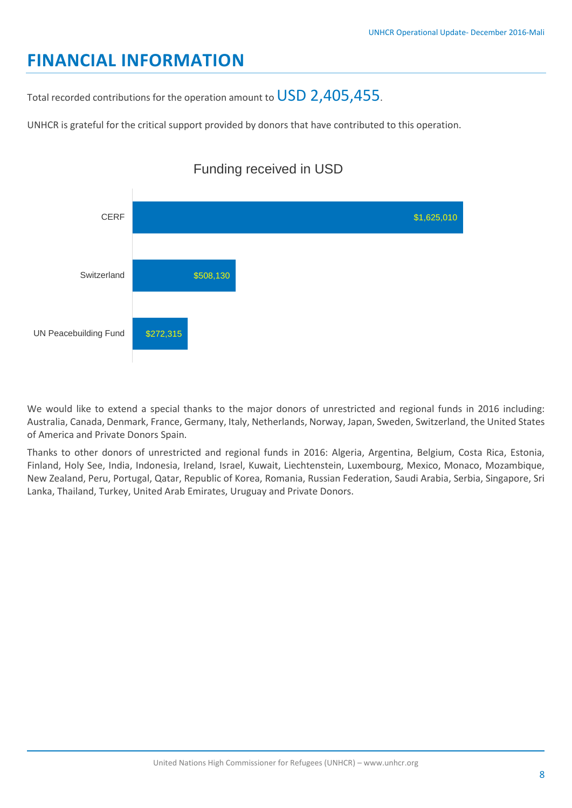# **FINANCIAL INFORMATION**

Total recorded contributions for the operation amount to USD 2,405,455.

UNHCR is grateful for the critical support provided by donors that have contributed to this operation.



We would like to extend a special thanks to the major donors of unrestricted and regional funds in 2016 including: Australia, Canada, Denmark, France, Germany, Italy, Netherlands, Norway, Japan, Sweden, Switzerland, the United States of America and Private Donors Spain.

Thanks to other donors of unrestricted and regional funds in 2016: Algeria, Argentina, Belgium, Costa Rica, Estonia, Finland, Holy See, India, Indonesia, Ireland, Israel, Kuwait, Liechtenstein, Luxembourg, Mexico, Monaco, Mozambique, New Zealand, Peru, Portugal, Qatar, Republic of Korea, Romania, Russian Federation, Saudi Arabia, Serbia, Singapore, Sri Lanka, Thailand, Turkey, United Arab Emirates, Uruguay and Private Donors.